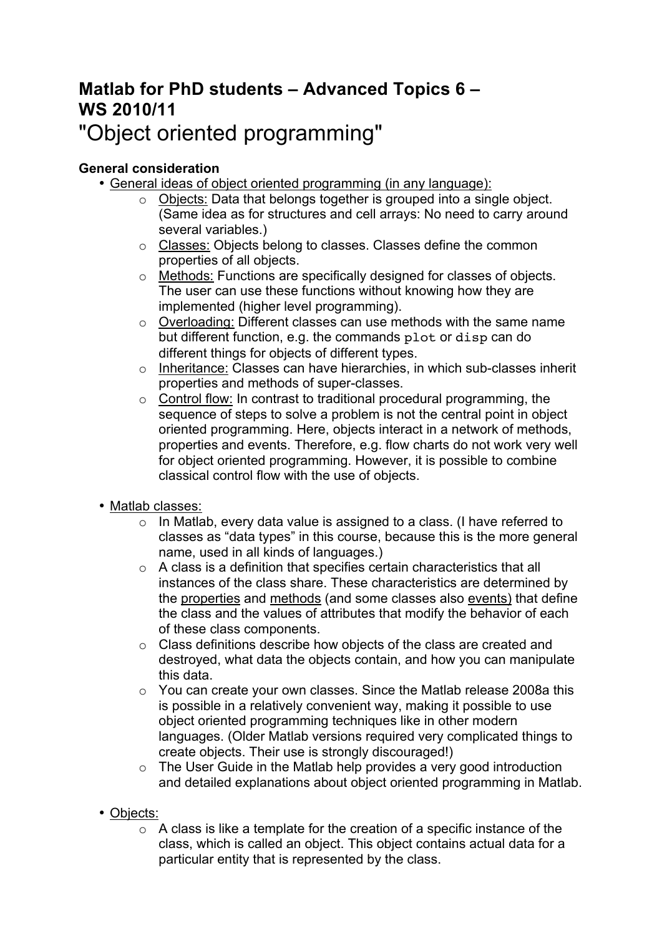# **Matlab for PhD students – Advanced Topics 6 – WS 2010/11** "Object oriented programming"

# **General consideration**

- General ideas of object oriented programming (in any language):
	- o Objects: Data that belongs together is grouped into a single object. (Same idea as for structures and cell arrays: No need to carry around several variables.)
	- o Classes: Objects belong to classes. Classes define the common properties of all objects.
	- o Methods: Functions are specifically designed for classes of objects. The user can use these functions without knowing how they are implemented (higher level programming).
	- o Overloading: Different classes can use methods with the same name but different function, e.g. the commands plot or disp can do different things for objects of different types.
	- o Inheritance: Classes can have hierarchies, in which sub-classes inherit properties and methods of super-classes.
	- $\circ$  Control flow: In contrast to traditional procedural programming, the sequence of steps to solve a problem is not the central point in object oriented programming. Here, objects interact in a network of methods, properties and events. Therefore, e.g. flow charts do not work very well for object oriented programming. However, it is possible to combine classical control flow with the use of objects.
- Matlab classes:
	- o In Matlab, every data value is assigned to a class. (I have referred to classes as "data types" in this course, because this is the more general name, used in all kinds of languages.)
	- o A class is a definition that specifies certain characteristics that all instances of the class share. These characteristics are determined by the properties and methods (and some classes also events) that define the class and the values of attributes that modify the behavior of each of these class components.
	- o Class definitions describe how objects of the class are created and destroyed, what data the objects contain, and how you can manipulate this data.
	- o You can create your own classes. Since the Matlab release 2008a this is possible in a relatively convenient way, making it possible to use object oriented programming techniques like in other modern languages. (Older Matlab versions required very complicated things to create objects. Their use is strongly discouraged!)
	- o The User Guide in the Matlab help provides a very good introduction and detailed explanations about object oriented programming in Matlab.
- Objects:
	- o A class is like a template for the creation of a specific instance of the class, which is called an object. This object contains actual data for a particular entity that is represented by the class.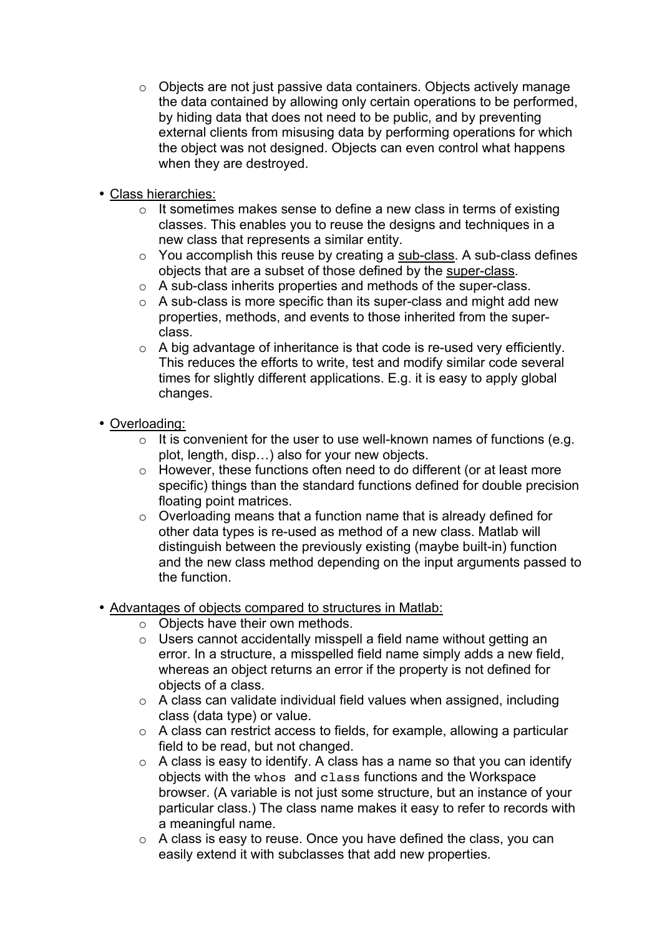- o Objects are not just passive data containers. Objects actively manage the data contained by allowing only certain operations to be performed, by hiding data that does not need to be public, and by preventing external clients from misusing data by performing operations for which the object was not designed. Objects can even control what happens when they are destroyed.
- Class hierarchies:
	- o It sometimes makes sense to define a new class in terms of existing classes. This enables you to reuse the designs and techniques in a new class that represents a similar entity.
	- $\circ$  You accomplish this reuse by creating a sub-class. A sub-class defines objects that are a subset of those defined by the super-class.
	- o A sub-class inherits properties and methods of the super-class.
	- o A sub-class is more specific than its super-class and might add new properties, methods, and events to those inherited from the superclass.
	- o A big advantage of inheritance is that code is re-used very efficiently. This reduces the efforts to write, test and modify similar code several times for slightly different applications. E.g. it is easy to apply global changes.
- Overloading:
	- $\circ$  It is convenient for the user to use well-known names of functions (e.g. plot, length, disp…) also for your new objects.
	- o However, these functions often need to do different (or at least more specific) things than the standard functions defined for double precision floating point matrices.
	- o Overloading means that a function name that is already defined for other data types is re-used as method of a new class. Matlab will distinguish between the previously existing (maybe built-in) function and the new class method depending on the input arguments passed to the function.
- Advantages of objects compared to structures in Matlab:
	- o Objects have their own methods.
	- o Users cannot accidentally misspell a field name without getting an error. In a structure, a misspelled field name simply adds a new field, whereas an object returns an error if the property is not defined for objects of a class.
	- $\circ$  A class can validate individual field values when assigned, including class (data type) or value.
	- o A class can restrict access to fields, for example, allowing a particular field to be read, but not changed.
	- $\circ$  A class is easy to identify. A class has a name so that you can identify objects with the whos and class functions and the Workspace browser. (A variable is not just some structure, but an instance of your particular class.) The class name makes it easy to refer to records with a meaningful name.
	- o A class is easy to reuse. Once you have defined the class, you can easily extend it with subclasses that add new properties.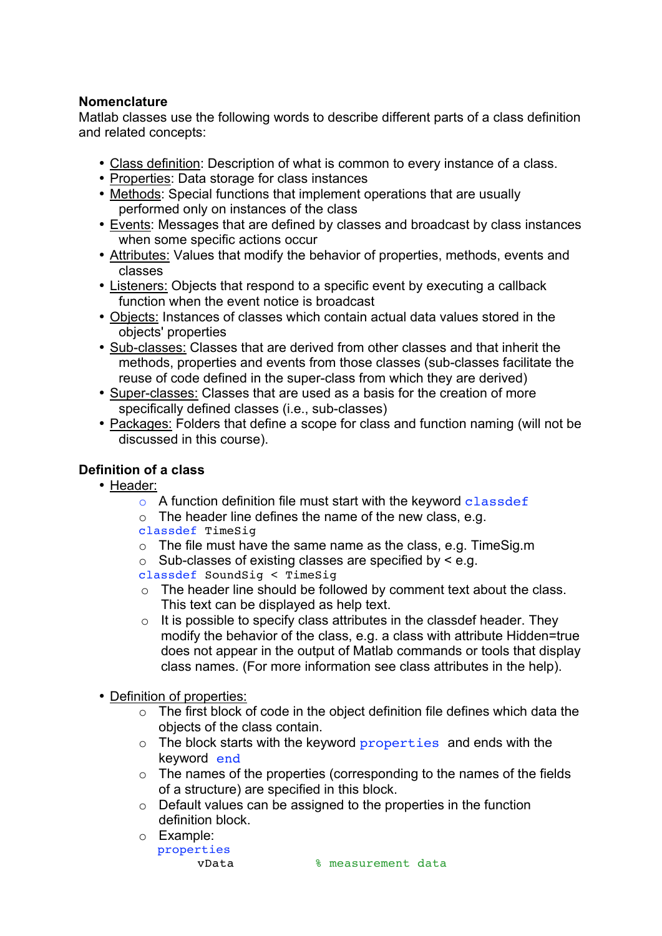### **Nomenclature**

Matlab classes use the following words to describe different parts of a class definition and related concepts:

- Class definition: Description of what is common to every instance of a class.
- Properties: Data storage for class instances
- Methods: Special functions that implement operations that are usually performed only on instances of the class
- Events: Messages that are defined by classes and broadcast by class instances when some specific actions occur
- Attributes: Values that modify the behavior of properties, methods, events and classes
- Listeners: Objects that respond to a specific event by executing a callback function when the event notice is broadcast
- Objects: Instances of classes which contain actual data values stored in the objects' properties
- Sub-classes: Classes that are derived from other classes and that inherit the methods, properties and events from those classes (sub-classes facilitate the reuse of code defined in the super-class from which they are derived)
- Super-classes: Classes that are used as a basis for the creation of more specifically defined classes (i.e., sub-classes)
- Packages: Folders that define a scope for class and function naming (will not be discussed in this course).

## **Definition of a class**

- Header:
	- $\circ$  A function definition file must start with the keyword classdef
	- $\circ$  The header line defines the name of the new class, e.g. classdef TimeSig
	- o The file must have the same name as the class, e.g. TimeSig.m
	- $\circ$  Sub-classes of existing classes are specified by  $\leq$  e.g.
	- classdef SoundSig < TimeSig
	- o The header line should be followed by comment text about the class. This text can be displayed as help text.
	- $\circ$  It is possible to specify class attributes in the classdef header. They modify the behavior of the class, e.g. a class with attribute Hidden=true does not appear in the output of Matlab commands or tools that display class names. (For more information see class attributes in the help).
- Definition of properties:
	- $\circ$  The first block of code in the object definition file defines which data the objects of the class contain.
	- o The block starts with the keyword properties and ends with the keyword end
	- $\circ$  The names of the properties (corresponding to the names of the fields of a structure) are specified in this block.
	- o Default values can be assigned to the properties in the function definition block.
	- o Example: properties

vData % measurement data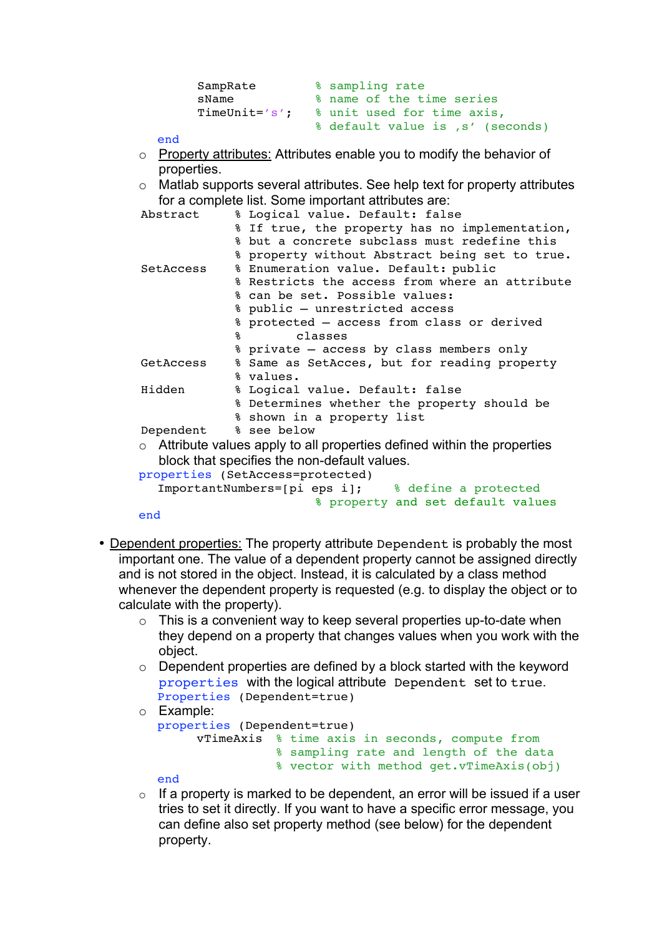```
SampRate % sampling rate
sName \sim % name of the time series
      TimeUnit='s'; % unit used for time axis,
                  % default value is , s' (seconds)
```
end

- o Property attributes: Attributes enable you to modify the behavior of properties.
- o Matlab supports several attributes. See help text for property attributes for a complete list. Some important attributes are:

| Abstract  | % Logical value. Default: false                                                |
|-----------|--------------------------------------------------------------------------------|
|           | % If true, the property has no implementation,                                 |
|           | % but a concrete subclass must redefine this                                   |
|           | % property without Abstract being set to true.                                 |
| SetAccess | % Enumeration value. Default: public                                           |
|           | % Restricts the access from where an attribute                                 |
|           | % can be set. Possible values:                                                 |
|           | % public - unrestricted access                                                 |
|           | % protected - access from class or derived                                     |
|           | ႜႜႜ<br>classes                                                                 |
|           | % private - access by class members only                                       |
| GetAccess | % Same as SetAcces, but for reading property                                   |
|           | % values.                                                                      |
| Hidden    | % Logical value. Default: false                                                |
|           | % Determines whether the property should be                                    |
|           | % shown in a property list                                                     |
| Dependent | % see below                                                                    |
|           | $\circ$ Attribute values apply to all properties defined within the properties |
|           | block that specifies the non-default values.                                   |
|           | properties (SetAccess=protected)                                               |
|           | ImportantNumbers=[pi eps i]; % define a protected                              |
|           | % property and set default values                                              |

- end
- Dependent properties: The property attribute Dependent is probably the most important one. The value of a dependent property cannot be assigned directly and is not stored in the object. Instead, it is calculated by a class method whenever the dependent property is requested (e.g. to display the object or to calculate with the property).
	- $\circ$  This is a convenient way to keep several properties up-to-date when they depend on a property that changes values when you work with the object.
	- $\circ$  Dependent properties are defined by a block started with the keyword properties with the logical attribute Dependent set to true. Properties (Dependent=true)

```
o Example:
```

```
properties (Dependent=true)
      vTimeAxis % time axis in seconds, compute from 
                 % sampling rate and length of the data 
                % vector with method get.vTimeAxis(obj)
```
- end
- $\circ$  If a property is marked to be dependent, an error will be issued if a user tries to set it directly. If you want to have a specific error message, you can define also set property method (see below) for the dependent property.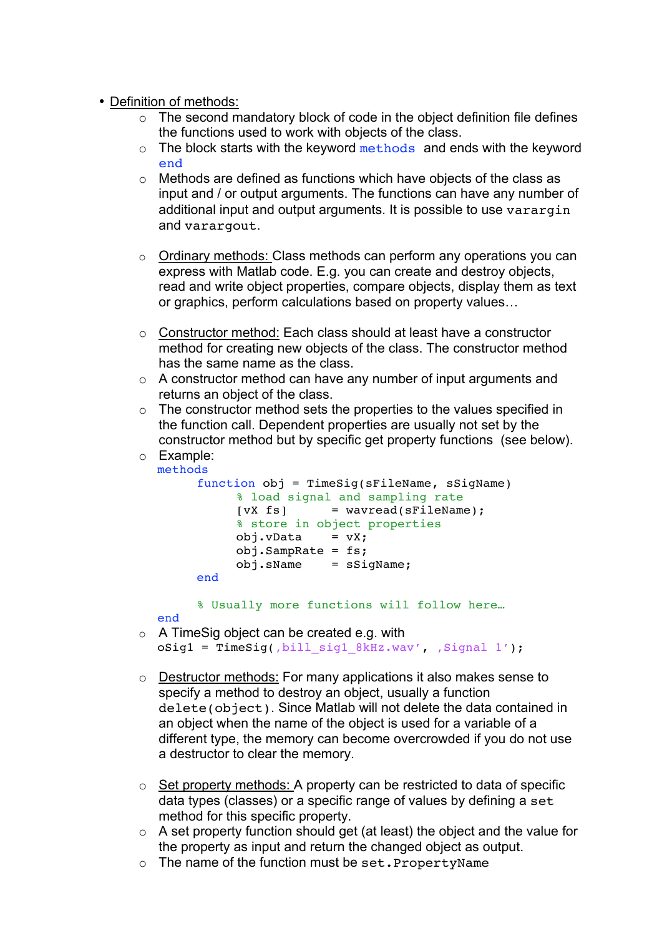- Definition of methods:
	- $\circ$  The second mandatory block of code in the object definition file defines the functions used to work with objects of the class.
	- $\circ$  The block starts with the keyword methods and ends with the keyword end
	- o Methods are defined as functions which have objects of the class as input and / or output arguments. The functions can have any number of additional input and output arguments. It is possible to use varargin and varargout.
	- o Ordinary methods: Class methods can perform any operations you can express with Matlab code. E.g. you can create and destroy objects, read and write object properties, compare objects, display them as text or graphics, perform calculations based on property values…
	- o Constructor method: Each class should at least have a constructor method for creating new objects of the class. The constructor method has the same name as the class.
	- o A constructor method can have any number of input arguments and returns an object of the class.
	- o The constructor method sets the properties to the values specified in the function call. Dependent properties are usually not set by the constructor method but by specific get property functions (see below).
	- o Example: methods

```
function obj = TimeSig(sFileName, sSigName)
     % load signal and sampling rate
     [vX fs] = wavread(sFileName);
     % store in object properties
     obj.vData = vX;obj.SampRate = fs; obj.sName = sSigName;
 end
```
% Usually more functions will follow here…

- end
- o A TimeSig object can be created e.g. with  $oSig1 = TimeSig($ , bill sig1 8kHz.wav', Signal 1');
- o Destructor methods: For many applications it also makes sense to specify a method to destroy an object, usually a function delete(object). Since Matlab will not delete the data contained in an object when the name of the object is used for a variable of a different type, the memory can become overcrowded if you do not use a destructor to clear the memory.
- o Set property methods: A property can be restricted to data of specific data types (classes) or a specific range of values by defining a set method for this specific property.
- o A set property function should get (at least) the object and the value for the property as input and return the changed object as output.
- o The name of the function must be set.PropertyName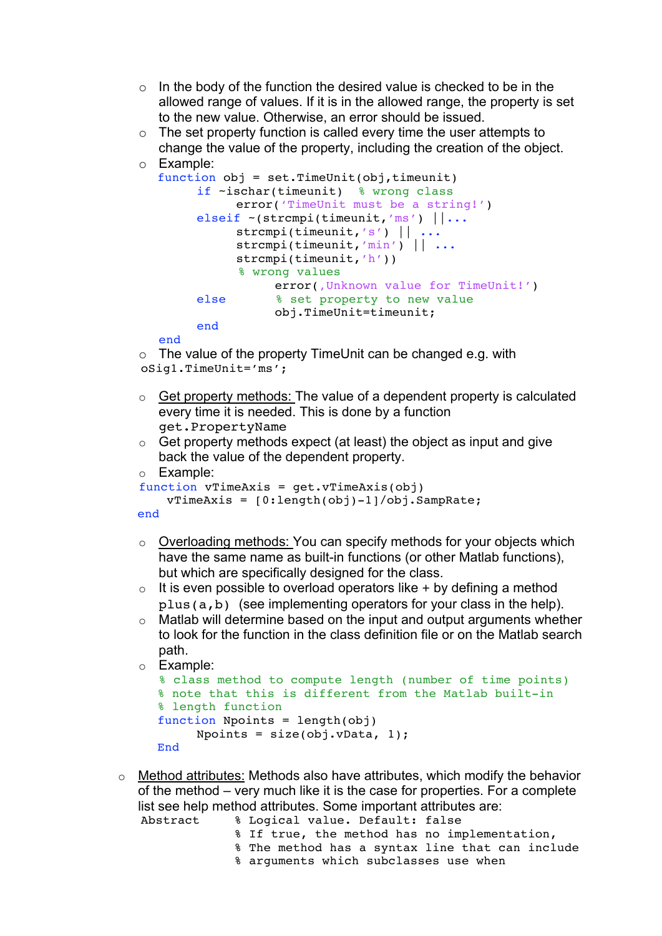- $\circ$  In the body of the function the desired value is checked to be in the allowed range of values. If it is in the allowed range, the property is set to the new value. Otherwise, an error should be issued.
- $\circ$  The set property function is called every time the user attempts to change the value of the property, including the creation of the object.

```
o Example:
```

```
function obj = set.TimeUnit(obj,timeunit)
     if ~ischar(timeunit) % wrong class 
           error('TimeUnit must be a string!')
     elseif ~(strcmpi(timeunit,'ms') ||...
          strcmpi(timeunit,'s') || ...
          strcmpi(timeunit,'min') || ...
          strcmpi(timeunit,'h'))
            % wrong values
               error(, Unknown value for TimeUnit!')
     else % set property to new value
                 obj.TimeUnit=timeunit; 
     end
```
end

```
\circ The value of the property TimeUnit can be changed e.g. with
oSig1.TimeUnit='ms';
```
- o Get property methods: The value of a dependent property is calculated every time it is needed. This is done by a function get.PropertyName
- $\circ$  Get property methods expect (at least) the object as input and give back the value of the dependent property.

```
o Example:
```

```
function vTimeAxis = qet.vTimeAxis(obj) vTimeAxis = [0:length(obj)-1]/obj.SampRate;
```
end

- o Overloading methods: You can specify methods for your objects which have the same name as built-in functions (or other Matlab functions), but which are specifically designed for the class.
- $\circ$  It is even possible to overload operators like + by defining a method plus(a,b) (see implementing operators for your class in the help).
- $\circ$  Matlab will determine based on the input and output arguments whether to look for the function in the class definition file or on the Matlab search path.

```
o Example:
```

```
% class method to compute length (number of time points)
 % note that this is different from the Matlab built-in 
% length function
 function Npoints = length(obj)
     Npoints = size(obj.vData, 1); End
```
 $\circ$  Method attributes: Methods also have attributes, which modify the behavior of the method – very much like it is the case for properties. For a complete list see help method attributes. Some important attributes are:

```
Abstract % Logical value. Default: false
            % If true, the method has no implementation, 
            % The method has a syntax line that can include 
            % arguments which subclasses use when
```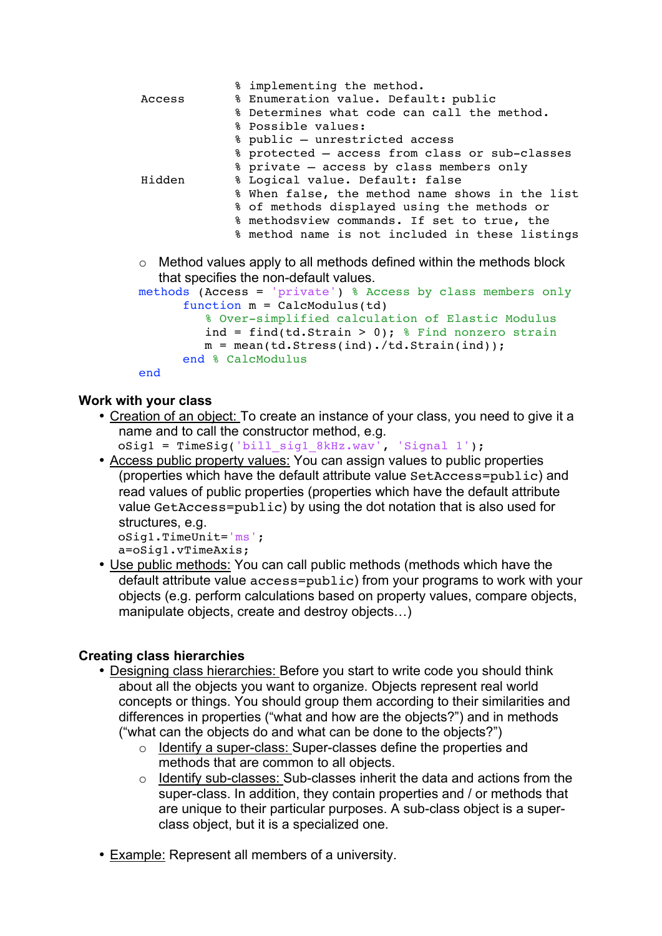|                                                                             | % implementing the method.                      |  |
|-----------------------------------------------------------------------------|-------------------------------------------------|--|
| Access                                                                      | % Enumeration value. Default: public            |  |
|                                                                             | % Determines what code can call the method.     |  |
|                                                                             | % Possible values:                              |  |
|                                                                             | % public - unrestricted access                  |  |
|                                                                             | % protected - access from class or sub-classes  |  |
|                                                                             | % private - access by class members only        |  |
| Hidden                                                                      | % Logical value. Default: false                 |  |
|                                                                             | % When false, the method name shows in the list |  |
|                                                                             | % of methods displayed using the methods or     |  |
|                                                                             | % methodsview commands. If set to true, the     |  |
|                                                                             | % method name is not included in these listings |  |
| $\circ$ Method values apply to all methods defined within the methods block |                                                 |  |
| that specifies the non-default values.                                      |                                                 |  |
| methods (Access = 'private') % Access by class members only                 |                                                 |  |
| function $m =$ CalcModulus(td)                                              |                                                 |  |
| % Over-simplified calculation of Elastic Modulus                            |                                                 |  |
| ind = find(td.Strain > 0); $\frac{1}{2}$ Find nonzero strain                |                                                 |  |
| $m = mean(td.Stress(int)./td.Strain(int))$ ;                                |                                                 |  |
| end % CalcModulus                                                           |                                                 |  |

```
end
```
#### **Work with your class**

- Creation of an object: To create an instance of your class, you need to give it a name and to call the constructor method, e.g.
	- oSig1 = TimeSig('bill\_sig1\_8kHz.wav', 'Signal 1');
- Access public property values: You can assign values to public properties (properties which have the default attribute value SetAccess=public) and read values of public properties (properties which have the default attribute value GetAccess=public) by using the dot notation that is also used for structures, e.g. oSig1.TimeUnit='ms';

```
a=oSig1.vTimeAxis;
```
• Use public methods: You can call public methods (methods which have the default attribute value access=public) from your programs to work with your objects (e.g. perform calculations based on property values, compare objects, manipulate objects, create and destroy objects…)

#### **Creating class hierarchies**

- Designing class hierarchies: Before you start to write code you should think about all the objects you want to organize. Objects represent real world concepts or things. You should group them according to their similarities and differences in properties ("what and how are the objects?") and in methods ("what can the objects do and what can be done to the objects?")
	- o Identify a super-class: Super-classes define the properties and methods that are common to all objects.
	- o Identify sub-classes: Sub-classes inherit the data and actions from the super-class. In addition, they contain properties and / or methods that are unique to their particular purposes. A sub-class object is a superclass object, but it is a specialized one.
- Example: Represent all members of a university.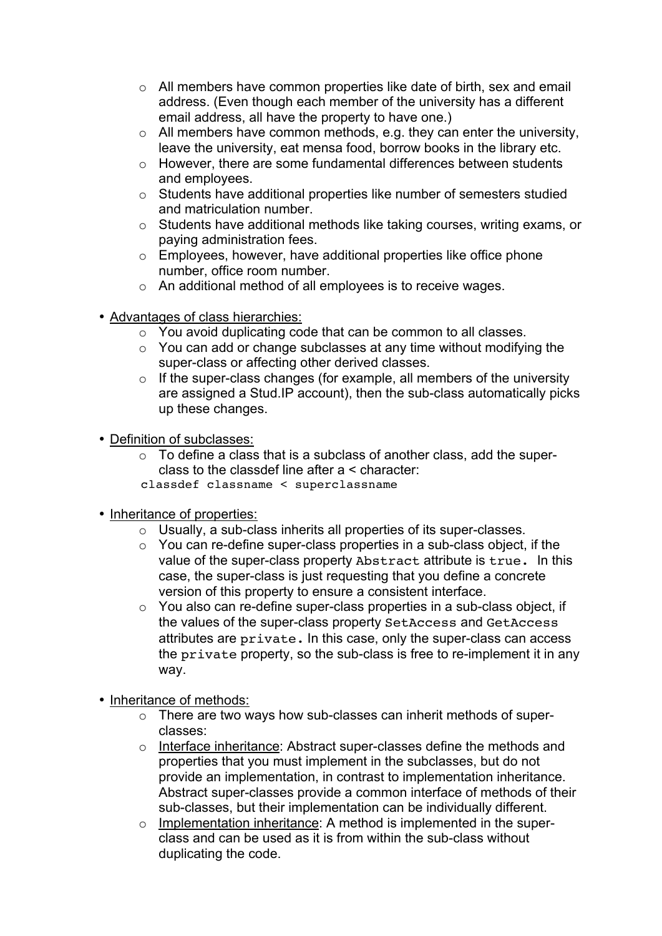- o All members have common properties like date of birth, sex and email address. (Even though each member of the university has a different email address, all have the property to have one.)
- $\circ$  All members have common methods, e.g. they can enter the university, leave the university, eat mensa food, borrow books in the library etc.
- o However, there are some fundamental differences between students and employees.
- o Students have additional properties like number of semesters studied and matriculation number.
- o Students have additional methods like taking courses, writing exams, or paying administration fees.
- $\circ$  Employees, however, have additional properties like office phone number, office room number.
- o An additional method of all employees is to receive wages.
- Advantages of class hierarchies:
	- o You avoid duplicating code that can be common to all classes.
	- $\circ$  You can add or change subclasses at any time without modifying the super-class or affecting other derived classes.
	- $\circ$  If the super-class changes (for example, all members of the university are assigned a Stud.IP account), then the sub-class automatically picks up these changes.
- Definition of subclasses:
	- $\circ$  To define a class that is a subclass of another class, add the superclass to the classdef line after a < character:
	- classdef classname < superclassname
- Inheritance of properties:
	- o Usually, a sub-class inherits all properties of its super-classes.
	- o You can re-define super-class properties in a sub-class object, if the value of the super-class property Abstract attribute is true. In this case, the super-class is just requesting that you define a concrete version of this property to ensure a consistent interface.
	- o You also can re-define super-class properties in a sub-class object, if the values of the super-class property SetAccess and GetAccess attributes are private. In this case, only the super-class can access the private property, so the sub-class is free to re-implement it in any way.
- Inheritance of methods:
	- o There are two ways how sub-classes can inherit methods of superclasses:
	- o Interface inheritance: Abstract super-classes define the methods and properties that you must implement in the subclasses, but do not provide an implementation, in contrast to implementation inheritance. Abstract super-classes provide a common interface of methods of their sub-classes, but their implementation can be individually different.
	- o Implementation inheritance: A method is implemented in the superclass and can be used as it is from within the sub-class without duplicating the code.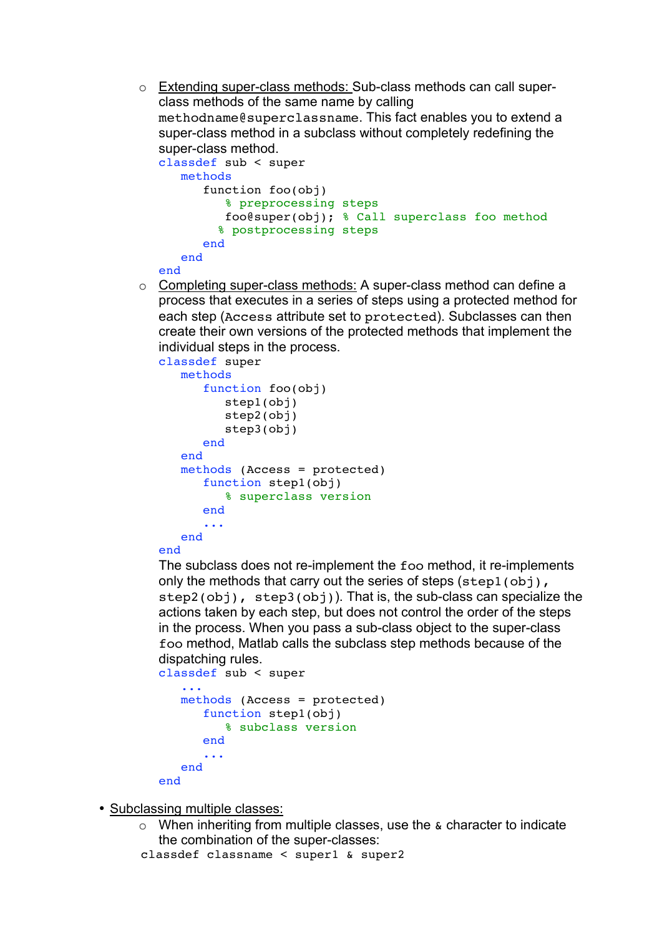o Extending super-class methods: Sub-class methods can call superclass methods of the same name by calling methodname@superclassname. This fact enables you to extend a super-class method in a subclass without completely redefining the super-class method.

```
classdef sub < super
   methods
       function foo(obj)
          % preprocessing steps 
          foo@super(obj); % Call superclass foo method
         % postprocessing steps
       end 
    end
```
- end
- o Completing super-class methods: A super-class method can define a process that executes in a series of steps using a protected method for each step (Access attribute set to protected). Subclasses can then create their own versions of the protected methods that implement the individual steps in the process.

```
classdef super
    methods 
       function foo(obj)
           step1(obj)
           step2(obj)
           step3(obj)
       end
    end
    methods (Access = protected)
       function step1(obj)
           % superclass version
       end
        ...
    end
```
#### end

The subclass does not re-implement the foo method, it re-implements only the methods that carry out the series of steps  $(\text{step1}(\text{obj}),$ step2(obj), step3(obj)). That is, the sub-class can specialize the actions taken by each step, but does not control the order of the steps in the process. When you pass a sub-class object to the super-class foo method, Matlab calls the subclass step methods because of the dispatching rules.

```
classdef sub < super
    ...
    methods (Access = protected)
       function step1(obj)
           % subclass version
       end
        ...
    end
end
```
• Subclassing multiple classes:

- $\circ$  When inheriting from multiple classes, use the  $\&$  character to indicate the combination of the super-classes:
- classdef classname < super1 & super2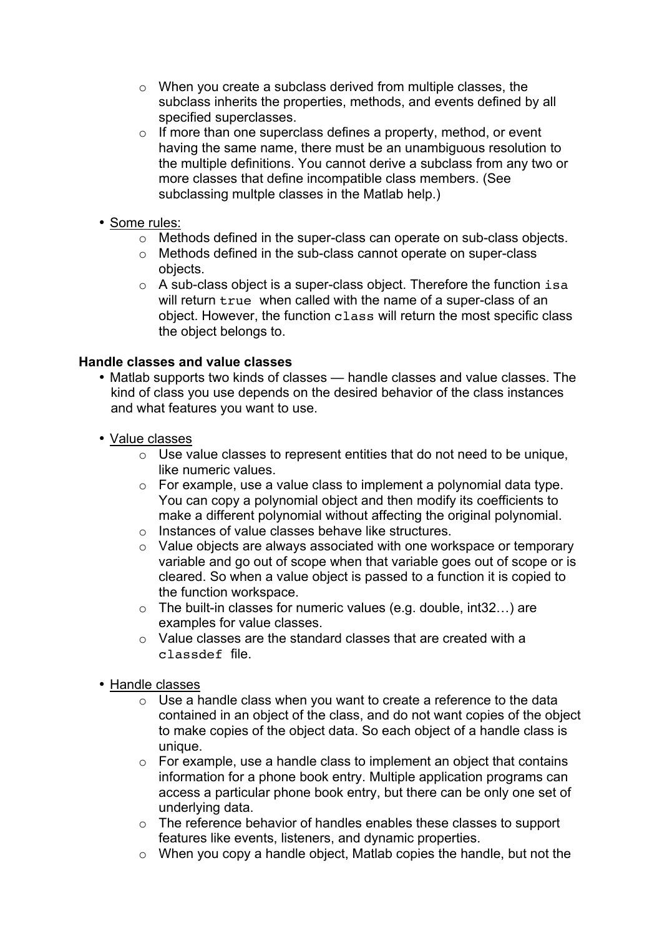- o When you create a subclass derived from multiple classes, the subclass inherits the properties, methods, and events defined by all specified superclasses.
- $\circ$  If more than one superclass defines a property, method, or event having the same name, there must be an unambiguous resolution to the multiple definitions. You cannot derive a subclass from any two or more classes that define incompatible class members. (See subclassing multple classes in the Matlab help.)
- Some rules:
	- o Methods defined in the super-class can operate on sub-class objects.
	- o Methods defined in the sub-class cannot operate on super-class objects.
	- o A sub-class object is a super-class object. Therefore the function isa will return true when called with the name of a super-class of an object. However, the function class will return the most specific class the object belongs to.

## **Handle classes and value classes**

- Matlab supports two kinds of classes handle classes and value classes. The kind of class you use depends on the desired behavior of the class instances and what features you want to use.
- Value classes
	- o Use value classes to represent entities that do not need to be unique, like numeric values.
	- o For example, use a value class to implement a polynomial data type. You can copy a polynomial object and then modify its coefficients to make a different polynomial without affecting the original polynomial.
	- o Instances of value classes behave like structures.
	- o Value objects are always associated with one workspace or temporary variable and go out of scope when that variable goes out of scope or is cleared. So when a value object is passed to a function it is copied to the function workspace.
	- $\circ$  The built-in classes for numeric values (e.g. double, int32...) are examples for value classes.
	- $\circ$  Value classes are the standard classes that are created with a classdef file.
- Handle classes
	- $\circ$  Use a handle class when you want to create a reference to the data contained in an object of the class, and do not want copies of the object to make copies of the object data. So each object of a handle class is unique.
	- $\circ$  For example, use a handle class to implement an object that contains information for a phone book entry. Multiple application programs can access a particular phone book entry, but there can be only one set of underlying data.
	- o The reference behavior of handles enables these classes to support features like events, listeners, and dynamic properties.
	- $\circ$  When you copy a handle object, Matlab copies the handle, but not the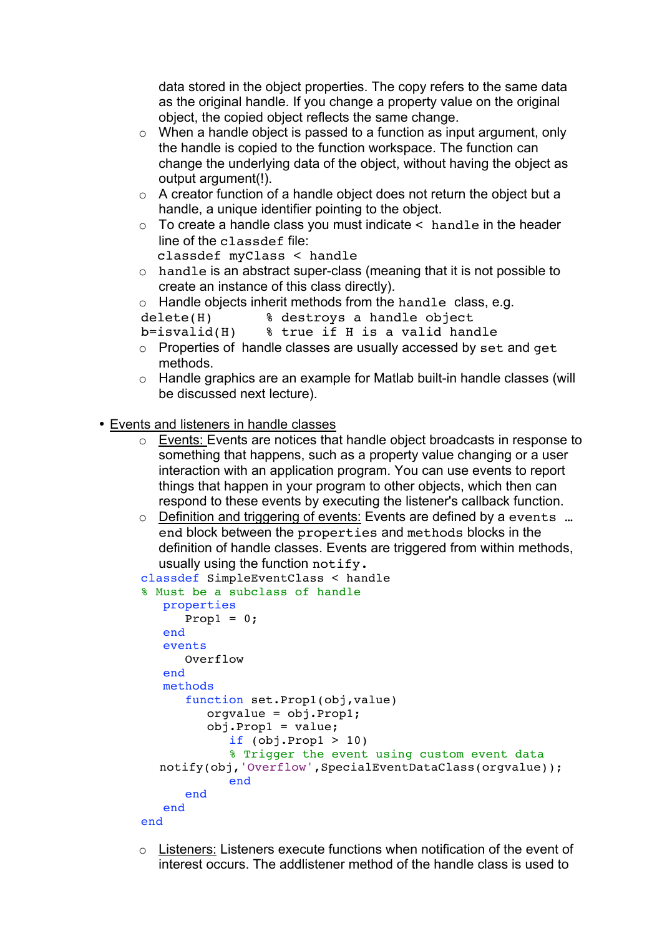data stored in the object properties. The copy refers to the same data as the original handle. If you change a property value on the original object, the copied object reflects the same change.

- $\circ$  When a handle object is passed to a function as input argument, only the handle is copied to the function workspace. The function can change the underlying data of the object, without having the object as output argument(!).
- $\circ$  A creator function of a handle object does not return the object but a handle, a unique identifier pointing to the object.
- $\circ$  To create a handle class you must indicate  $\lt$  handle in the header line of the classdef file:

```
classdef myClass < handle
```
- o handle is an abstract super-class (meaning that it is not possible to create an instance of this class directly).
- $\circ$  Handle objects inherit methods from the handle class, e.g.

```
delete(H) % destroys a handle object
```

```
b=isvalid(H) % true if H is a valid handle
```
- o Properties of handle classes are usually accessed by set and get methods.
- o Handle graphics are an example for Matlab built-in handle classes (will be discussed next lecture).

## • Events and listeners in handle classes

- o Events: Events are notices that handle object broadcasts in response to something that happens, such as a property value changing or a user interaction with an application program. You can use events to report things that happen in your program to other objects, which then can respond to these events by executing the listener's callback function.
- o Definition and triggering of events: Events are defined by a events … end block between the properties and methods blocks in the definition of handle classes. Events are triggered from within methods, usually using the function notify.

```
classdef SimpleEventClass < handle
% Must be a subclass of handle
    properties
      Prop1 = 0; end
    events
       Overflow
    end
    methods
       function set.Prop1(obj,value)
          orgvalue = obj.Prop1;
          obj.Prop1 = value;
            if (obj.Prop1 > 10) % Trigger the event using custom event data
   notify(obj,'Overflow',SpecialEventDataClass(orgvalue));
             end
       end
    end
end
```
o Listeners: Listeners execute functions when notification of the event of interest occurs. The addlistener method of the handle class is used to